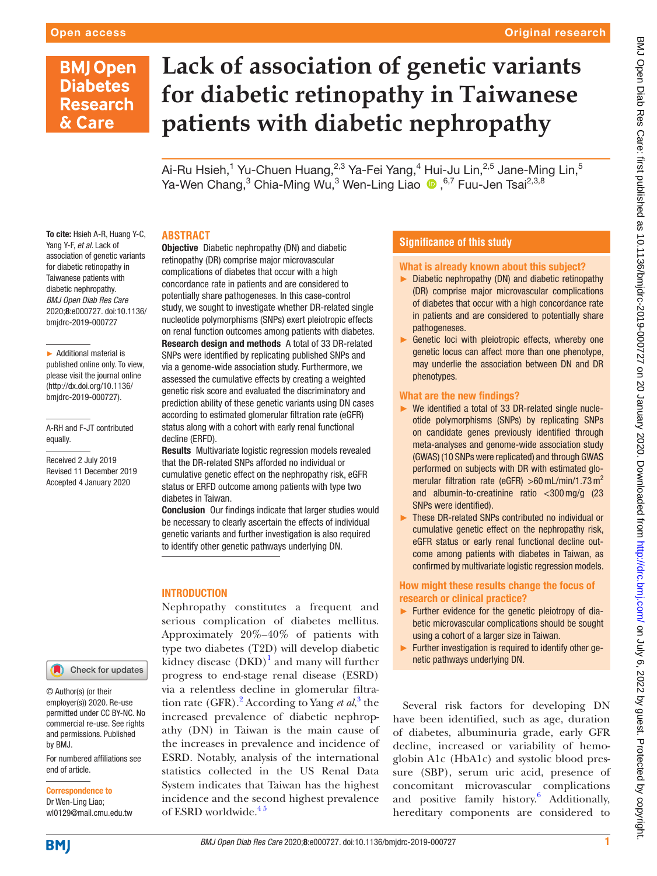## **BMJ Open Diabetes Research** & Care

# **Lack of association of genetic variants for diabetic retinopathy in Taiwanese patients with diabetic nephropathy**

Ai-Ru Hsieh, $^1$  Yu-Chuen Huang, $^{2,3}$  Ya-Fei Yang, $^4$  Hui-Ju Lin, $^{2,5}$  Jane-Ming Lin, $^5$ Ya-WenChang, $^3$  Chia-Ming Wu, $^3$  Wen-Ling Liao  $\, \bullet \,$  , $^{6,7}$  Fuu-Jen Tsai $^{2,3,8}$ 

#### To cite: Hsieh A-R, Huang Y-C, Yang Y-F, *et al*. Lack of association of genetic variants for diabetic retinopathy in Taiwanese patients with diabetic nephropathy. *BMJ Open Diab Res Care* 2020;8:e000727. doi:10.1136/ bmjdrc-2019-000727

► Additional material is published online only. To view, please visit the journal online (http://dx.doi.org/10.1136/ bmjdrc-2019-000727).

A-RH and F-JT contributed equally.

Received 2 July 2019 Revised 11 December 2019 Accepted 4 January 2020



© Author(s) (or their employer(s)) 2020. Re-use permitted under CC BY-NC. No commercial re-use. See rights and permissions. Published by BMJ.

For numbered affiliations see end of article.

Correspondence to Dr Wen-Ling Liao; wl0129@mail.cmu.edu.tw

#### **Abstract**

**Objective** Diabetic nephropathy (DN) and diabetic retinopathy (DR) comprise major microvascular complications of diabetes that occur with a high concordance rate in patients and are considered to potentially share pathogeneses. In this case-control study, we sought to investigate whether DR-related single nucleotide polymorphisms (SNPs) exert pleiotropic effects on renal function outcomes among patients with diabetes. Research design and methods A total of 33 DR-related SNPs were identified by replicating published SNPs and via a genome-wide association study. Furthermore, we assessed the cumulative effects by creating a weighted genetic risk score and evaluated the discriminatory and prediction ability of these genetic variants using DN cases according to estimated glomerular filtration rate (eGFR) status along with a cohort with early renal functional decline (ERFD).

Results Multivariate logistic regression models revealed that the DR-related SNPs afforded no individual or cumulative genetic effect on the nephropathy risk, eGFR status or ERFD outcome among patients with type two diabetes in Taiwan.

Conclusion Our findings indicate that larger studies would be necessary to clearly ascertain the effects of individual genetic variants and further investigation is also required to identify other genetic pathways underlying DN.

## **INTRODUCTION**

Nephropathy constitutes a frequent and serious complication of diabetes mellitus. Approximately 20%–40% of patients with type two diabetes (T2D) will develop diabetic kidney disease  $(DKD)^1$  $(DKD)^1$  and many will further progress to end-stage renal disease (ESRD) via a relentless decline in glomerular filtra-tion rate (GFR).<sup>[2](#page-7-1)</sup> According to Yang *et al*,<sup>[3](#page-7-2)</sup> the increased prevalence of diabetic nephropathy (DN) in Taiwan is the main cause of the increases in prevalence and incidence of ESRD. Notably, analysis of the international statistics collected in the US Renal Data System indicates that Taiwan has the highest incidence and the second highest prevalence of ESRD worldwide.<sup>45</sup>

### **Significance of this study**

#### What is already known about this subject?

- ► Diabetic nephropathy (DN) and diabetic retinopathy (DR) comprise major microvascular complications of diabetes that occur with a high concordance rate in patients and are considered to potentially share pathogeneses.
- ► Genetic loci with pleiotropic effects, whereby one genetic locus can affect more than one phenotype, may underlie the association between DN and DR phenotypes.

#### What are the new findings?

- ► We identified a total of 33 DR-related single nucleotide polymorphisms (SNPs) by replicating SNPs on candidate genes previously identified through meta-analyses and genome-wide association study (GWAS) (10 SNPs were replicated) and through GWAS performed on subjects with DR with estimated glomerular filtration rate (eGFR)  $>60$  mL/min/1.73 m<sup>2</sup> and albumin-to-creatinine ratio <300mg/g (23 SNPs were identified).
- ► These DR-related SNPs contributed no individual or cumulative genetic effect on the nephropathy risk, eGFR status or early renal functional decline outcome among patients with diabetes in Taiwan, as confirmed by multivariate logistic regression models.

#### How might these results change the focus of research or clinical practice?

- ► Further evidence for the genetic pleiotropy of diabetic microvascular complications should be sought using a cohort of a larger size in Taiwan.
- ► Further investigation is required to identify other genetic pathways underlying DN.

Several risk factors for developing DN have been identified, such as age, duration of diabetes, albuminuria grade, early GFR decline, increased or variability of hemoglobin A1c (HbA1c) and systolic blood pressure (SBP), serum uric acid, presence of concomitant microvascular complications and positive family history.<sup>[6](#page-8-0)</sup> Additionally, hereditary components are considered to

**BMJ**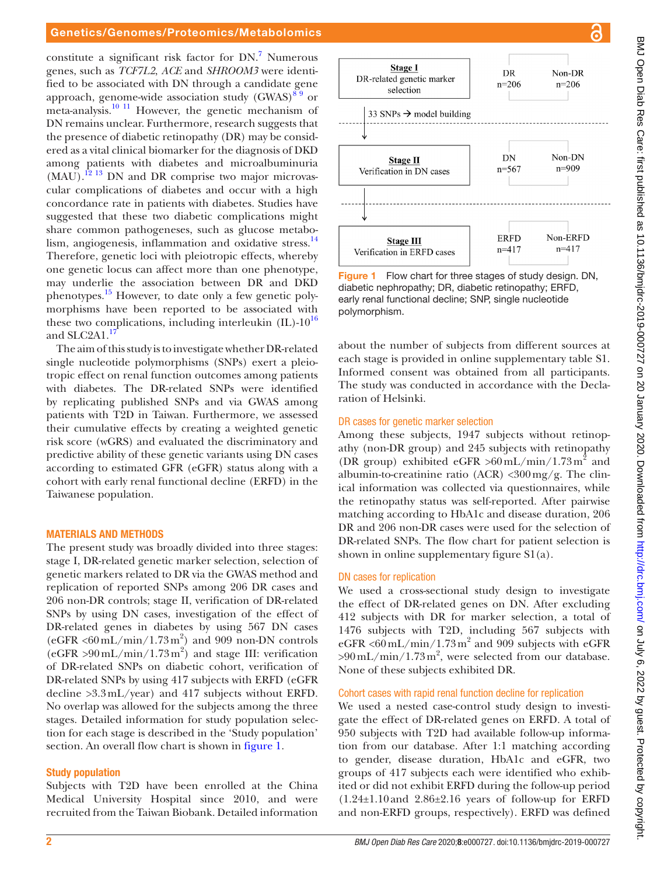#### Genetics/Genomes/Proteomics/Metabolomics

constitute a significant risk factor for DN.<sup>7</sup> Numerous genes, such as *TCF7L2*, *ACE* and *SHROOM3* were identified to be associated with DN through a candidate gene approach, genome-wide association study  $(GWAS)^{89}$  or meta-analysis.<sup>10 11</sup> However, the genetic mechanism of DN remains unclear. Furthermore, research suggests that the presence of diabetic retinopathy (DR) may be considered as a vital clinical biomarker for the diagnosis of DKD among patients with diabetes and microalbuminuria  $(MAU)$ .<sup>[12 13](#page-8-4)</sup> DN and DR comprise two major microvascular complications of diabetes and occur with a high concordance rate in patients with diabetes. Studies have suggested that these two diabetic complications might share common pathogeneses, such as glucose metabolism, angiogenesis, inflammation and oxidative stress.<sup>14</sup> Therefore, genetic loci with pleiotropic effects, whereby one genetic locus can affect more than one phenotype, may underlie the association between DR and DKD phenotypes.<sup>15</sup> However, to date only a few genetic polymorphisms have been reported to be associated with these two complications, including interleukin  $(IL)-10^{16}$ and SLC2A1.<sup>[17](#page-8-8)</sup>

The aim of this study is to investigate whether DR-related single nucleotide polymorphisms (SNPs) exert a pleiotropic effect on renal function outcomes among patients with diabetes. The DR-related SNPs were identified by replicating published SNPs and via GWAS among patients with T2D in Taiwan. Furthermore, we assessed their cumulative effects by creating a weighted genetic risk score (wGRS) and evaluated the discriminatory and predictive ability of these genetic variants using DN cases according to estimated GFR (eGFR) status along with a cohort with early renal functional decline (ERFD) in the Taiwanese population.

#### Materials and methods

The present study was broadly divided into three stages: stage I, DR-related genetic marker selection, selection of genetic markers related to DR via the GWAS method and replication of reported SNPs among 206 DR cases and 206 non-DR controls; stage II, verification of DR-related SNPs by using DN cases, investigation of the effect of DR-related genes in diabetes by using 567 DN cases (eGFR <60 $mL/min/1.73m^2$ ) and 909 non-DN controls (eGFR  $>90$  mL/min/1.73 m<sup>2</sup>) and stage III: verification of DR-related SNPs on diabetic cohort, verification of DR-related SNPs by using 417 subjects with ERFD (eGFR decline >3.3mL/year) and 417 subjects without ERFD. No overlap was allowed for the subjects among the three stages. Detailed information for study population selection for each stage is described in the 'Study population' section. An overall flow chart is shown in [figure](#page-1-0) 1.

#### Study population

Subjects with T2D have been enrolled at the China Medical University Hospital since 2010, and were recruited from the Taiwan Biobank. Detailed information



<span id="page-1-0"></span>**Figure 1** Flow chart for three stages of study design. DN, diabetic nephropathy; DR, diabetic retinopathy; ERFD, early renal functional decline; SNP, single nucleotide polymorphism.

about the number of subjects from different sources at each stage is provided in [online supplementary table S1.](https://dx.doi.org/10.1136/bmjdrc-2019-000727) Informed consent was obtained from all participants. The study was conducted in accordance with the Declaration of Helsinki.

#### DR cases for genetic marker selection

Among these subjects, 1947 subjects without retinopathy (non-DR group) and 245 subjects with retinopathy (DR group) exhibited eGFR  $>60 \text{ mL/min} / 1.73 \text{ m}^2$  and albumin-to-creatinine ratio  $(ACR)$  <300 mg/g. The clinical information was collected via questionnaires, while the retinopathy status was self-reported. After pairwise matching according to HbA1c and disease duration, 206 DR and 206 non-DR cases were used for the selection of DR-related SNPs. The flow chart for patient selection is shown in [online supplementary figure S1\(a\)](https://dx.doi.org/10.1136/bmjdrc-2019-000727).

#### DN cases for replication

We used a cross-sectional study design to investigate the effect of DR-related genes on DN. After excluding 412 subjects with DR for marker selection, a total of 1476 subjects with T2D, including 567 subjects with eGFR <60 mL/min/1.73 m<sup>2</sup> and 909 subjects with eGFR  $>90$  mL/min/1.73 m<sup>2</sup>, were selected from our database. None of these subjects exhibited DR.

#### Cohort cases with rapid renal function decline for replication

We used a nested case-control study design to investigate the effect of DR-related genes on ERFD. A total of 950 subjects with T2D had available follow-up information from our database. After 1:1 matching according to gender, disease duration, HbA1c and eGFR, two groups of 417 subjects each were identified who exhibited or did not exhibit ERFD during the follow-up period  $(1.24\pm1.10$  and  $2.86\pm2.16$  years of follow-up for ERFD and non-ERFD groups, respectively). ERFD was defined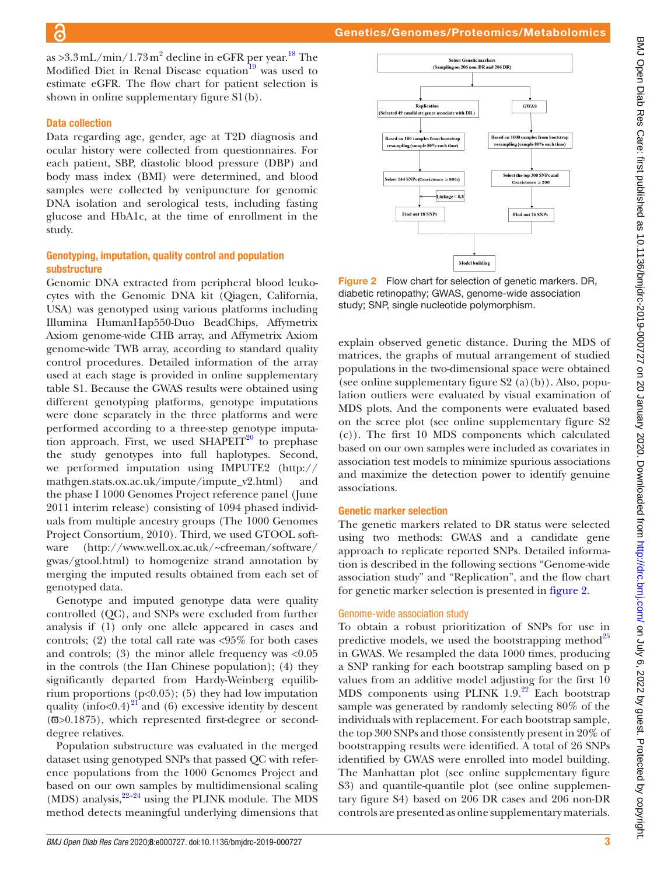as >3.3 mL/min/1.73 m<sup>2</sup> decline in eGFR per year.<sup>[18](#page-8-9)</sup> The Modified Diet in Renal Disease equation<sup>[19](#page-8-10)</sup> was used to estimate eGFR. The flow chart for patient selection is shown in [online supplementary figure S1\(b\)](https://dx.doi.org/10.1136/bmjdrc-2019-000727).

## Data collection

Data regarding age, gender, age at T2D diagnosis and ocular history were collected from questionnaires. For each patient, SBP, diastolic blood pressure (DBP) and body mass index (BMI) were determined, and blood samples were collected by venipuncture for genomic DNA isolation and serological tests, including fasting glucose and HbA1c, at the time of enrollment in the study.

## Genotyping, imputation, quality control and population substructure

Genomic DNA extracted from peripheral blood leukocytes with the Genomic DNA kit (Qiagen, California, USA) was genotyped using various platforms including Illumina HumanHap550-Duo BeadChips, Affymetrix Axiom genome-wide CHB array, and Affymetrix Axiom genome-wide TWB array, according to standard quality control procedures. Detailed information of the array used at each stage is provided in [online supplementary](https://dx.doi.org/10.1136/bmjdrc-2019-000727) [table S1.](https://dx.doi.org/10.1136/bmjdrc-2019-000727) Because the GWAS results were obtained using different genotyping platforms, genotype imputations were done separately in the three platforms and were performed according to a three-step genotype imputation approach. First, we used  $SHAPEIT<sup>20</sup>$  to prephase the study genotypes into full haplotypes. Second, we performed imputation using IMPUTE2 [\(http://](http://mathgen.stats.ox.ac.uk/impute/impute_v2.html) [mathgen.stats.ox.ac.uk/impute/impute\\_v2.html](http://mathgen.stats.ox.ac.uk/impute/impute_v2.html)) and the phase I 1000 Genomes Project reference panel (June 2011 interim release) consisting of 1094 phased individuals from multiple ancestry groups (The 1000 Genomes Project Consortium, 2010). Third, we used GTOOL software [\(http://www.well.ox.ac.uk/~cfreeman/software/](http://www.well.ox.ac.uk/~cfreeman/software/gwas/gtool.html) [gwas/gtool.html](http://www.well.ox.ac.uk/~cfreeman/software/gwas/gtool.html)) to homogenize strand annotation by merging the imputed results obtained from each set of genotyped data.

Genotype and imputed genotype data were quality controlled (QC), and SNPs were excluded from further analysis if (1) only one allele appeared in cases and controls; (2) the total call rate was <95% for both cases and controls;  $(3)$  the minor allele frequency was  $\langle 0.05 \rangle$ in the controls (the Han Chinese population); (4) they significantly departed from Hardy-Weinberg equilibrium proportions  $(p<0.05)$ ; (5) they had low imputation quality (info $< 0.4$ )<sup>21</sup> and (6) excessive identity by descent (π>0.1875), which represented first-degree or seconddegree relatives.

Population substructure was evaluated in the merged dataset using genotyped SNPs that passed QC with reference populations from the 1000 Genomes Project and based on our own samples by multidimensional scaling (MDS) analysis,  $22-24$  using the PLINK module. The MDS method detects meaningful underlying dimensions that



<span id="page-2-0"></span>Figure 2 Flow chart for selection of genetic markers. DR, diabetic retinopathy; GWAS, genome-wide association study; SNP, single nucleotide polymorphism.

explain observed genetic distance. During the MDS of matrices, the graphs of mutual arrangement of studied populations in the two-dimensional space were obtained (see online supplementary figure  $S_2$  (a)(b)). Also, population outliers were evaluated by visual examination of MDS plots. And the components were evaluated based on the scree plot (see [online supplementary figure S2](https://dx.doi.org/10.1136/bmjdrc-2019-000727) [\(c\)](https://dx.doi.org/10.1136/bmjdrc-2019-000727)). The first 10 MDS components which calculated based on our own samples were included as covariates in association test models to minimize spurious associations and maximize the detection power to identify genuine associations.

#### Genetic marker selection

The genetic markers related to DR status were selected using two methods: GWAS and a candidate gene approach to replicate reported SNPs. Detailed information is described in the following sections "Genome-wide association study" and "Replication", and the flow chart for genetic marker selection is presented in [figure](#page-2-0) 2.

#### Genome-wide association study

To obtain a robust prioritization of SNPs for use in predictive models, we used the bootstrapping method $^{25}$ in GWAS. We resampled the data 1000 times, producing a SNP ranking for each bootstrap sampling based on p values from an additive model adjusting for the first 10 MDS components using PLINK  $1.9<sup>22</sup>$  Each bootstrap sample was generated by randomly selecting 80% of the individuals with replacement. For each bootstrap sample, the top 300 SNPs and those consistently present in 20% of bootstrapping results were identified. A total of 26 SNPs identified by GWAS were enrolled into model building. The Manhattan plot (see [online supplementary figure](https://dx.doi.org/10.1136/bmjdrc-2019-000727) [S3](https://dx.doi.org/10.1136/bmjdrc-2019-000727)) and quantile-quantile plot (see [online supplemen](https://dx.doi.org/10.1136/bmjdrc-2019-000727)[tary figure S4\)](https://dx.doi.org/10.1136/bmjdrc-2019-000727) based on 206 DR cases and 206 non-DR controls are presented as [online supplementary materials.](https://dx.doi.org/10.1136/bmjdrc-2019-000727)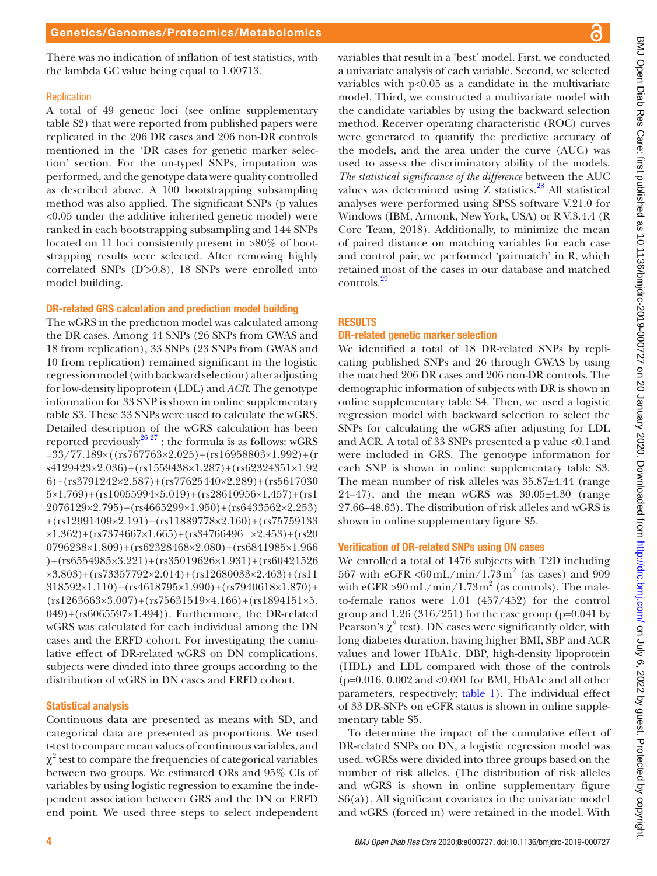There was no indication of inflation of test statistics, with the lambda GC value being equal to 1.00713.

#### **Replication**

A total of 49 genetic loci (see [online supplementary](https://dx.doi.org/10.1136/bmjdrc-2019-000727) [table S2](https://dx.doi.org/10.1136/bmjdrc-2019-000727)) that were reported from published papers were replicated in the 206 DR cases and 206 non-DR controls mentioned in the 'DR cases for genetic marker selection' section. For the un-typed SNPs, imputation was performed, and the genotype data were quality controlled as described above. A 100 bootstrapping subsampling method was also applied. The significant SNPs (p values <0.05 under the additive inherited genetic model) were ranked in each bootstrapping subsampling and 144 SNPs located on 11 loci consistently present in >80% of bootstrapping results were selected. After removing highly correlated SNPs (D′>0.8), 18 SNPs were enrolled into model building.

#### DR-related GRS calculation and prediction model building

The wGRS in the prediction model was calculated among the DR cases. Among 44 SNPs (26 SNPs from GWAS and 18 from replication), 33 SNPs (23 SNPs from GWAS and 10 from replication) remained significant in the logistic regression model (with backward selection) after adjusting for low-density lipoprotein (LDL) and *ACR*. The genotype information for 33 SNP is shown in [online supplementary](https://dx.doi.org/10.1136/bmjdrc-2019-000727) [table S3](https://dx.doi.org/10.1136/bmjdrc-2019-000727). These 33 SNPs were used to calculate the wGRS. Detailed description of the wGRS calculation has been reported previously<sup>26, 27</sup>; the formula is as follows: wGRS  $=33/77.189\times((rs767763\times2.025)+(rs16958803\times1.992)+(r$ s4129423×2.036)+(rs1559438×1.287)+(rs62324351×1.92  $6)+(rs3791242\times2.587)+(rs77625440\times2.289)+(rs5617030$  $5\times1.769$  + (rs10055994×5.019) + (rs28610956×1.457) + (rs1 2076129×2.795)+(rs4665299×1.950)+(rs6433562×2.253) +(rs12991409×2.191)+(rs11889778×2.160)+(rs75759133  $\times1.362$ )+(rs7374667 $\times1.665$ )+(rs34766496  $\times2.453$ )+(rs20 0796238×1.809)+(rs62328468×2.080)+(rs6841985×1.966 )+(rs6554985×3.221)+(rs35019626×1.931)+(rs60421526  $\times$ 3.803)+(rs73357792 $\times$ 2.014)+(rs12680033 $\times$ 2.463)+(rs11  $318592\times1.110$  + (rs4618795 $\times1.990$ ) + (rs7940618 $\times1.870$ ) +  $(rs1263663×3.007)+(rs75631519×4.166)+(rs1894151×5.$ 049)+(rs6065597×1.494)). Furthermore, the DR-related wGRS was calculated for each individual among the DN cases and the ERFD cohort. For investigating the cumulative effect of DR-related wGRS on DN complications, subjects were divided into three groups according to the distribution of wGRS in DN cases and ERFD cohort.

#### Statistical analysis

Continuous data are presented as means with SD, and categorical data are presented as proportions. We used t-test to compare mean values of continuous variables, and  $\chi^2$  test to compare the frequencies of categorical variables between two groups. We estimated ORs and 95% CIs of variables by using logistic regression to examine the independent association between GRS and the DN or ERFD end point. We used three steps to select independent

variables that result in a 'best' model. First, we conducted a univariate analysis of each variable. Second, we selected variables with  $p<0.05$  as a candidate in the multivariate model. Third, we constructed a multivariate model with the candidate variables by using the backward selection method. Receiver operating characteristic (ROC) curves were generated to quantify the predictive accuracy of the models, and the area under the curve (AUC) was used to assess the discriminatory ability of the models. *The statistical significance of the difference* between the AUC values was determined using  $Z$  statistics.<sup>28</sup> All statistical analyses were performed using SPSS software V.21.0 for Windows (IBM, Armonk, New York, USA) or R V.3.4.4 (R Core Team, 2018). Additionally, to minimize the mean of paired distance on matching variables for each case and control pair, we performed 'pairmatch' in R, which retained most of the cases in our database and matched controls.[29](#page-8-17)

#### **RESULTS**

#### DR-related genetic marker selection

We identified a total of 18 DR-related SNPs by replicating published SNPs and 26 through GWAS by using the matched 206 DR cases and 206 non-DR controls. The demographic information of subjects with DR is shown in [online supplementary table S4](https://dx.doi.org/10.1136/bmjdrc-2019-000727). Then, we used a logistic regression model with backward selection to select the SNPs for calculating the wGRS after adjusting for LDL and ACR. A total of 33 SNPs presented a p value <0.1and were included in GRS. The genotype information for each SNP is shown in [online supplementary table S3.](https://dx.doi.org/10.1136/bmjdrc-2019-000727) The mean number of risk alleles was 35.87±4.44 (range  $24-47$ ), and the mean wGRS was  $39.05\pm4.30$  (range 27.66–48.63). The distribution of risk alleles and wGRS is shown in [online supplementary figure S5.](https://dx.doi.org/10.1136/bmjdrc-2019-000727)

#### Verification of DR-related SNPs using DN cases

We enrolled a total of 1476 subjects with T2D including 567 with eGFR <60 mL/min/1.73 $m^2$  (as cases) and 909 with  $eGFR > 90$  mL/min/1.73 m<sup>2</sup> (as controls). The maleto-female ratios were 1.01 (457/452) for the control group and  $1.26$  (316/251) for the case group (p=0.041 by Pearson's  $\chi^2$  test). DN cases were significantly older, with long diabetes duration, having higher BMI, SBP and ACR values and lower HbA1c, DBP, high-density lipoprotein (HDL) and LDL compared with those of the controls  $(p=0.016, 0.002, and <0.001$  for BMI, HbA1c and all other parameters, respectively; [table](#page-4-0) 1). The individual effect of 33 DR-SNPs on eGFR status is shown in [online supple](https://dx.doi.org/10.1136/bmjdrc-2019-000727)[mentary table S5.](https://dx.doi.org/10.1136/bmjdrc-2019-000727)

To determine the impact of the cumulative effect of DR-related SNPs on DN, a logistic regression model was used. wGRSs were divided into three groups based on the number of risk alleles. (The distribution of risk alleles and wGRS is shown in [online supplementary figure](https://dx.doi.org/10.1136/bmjdrc-2019-000727)  $S6(a)$ ). All significant covariates in the univariate model and wGRS (forced in) were retained in the model. With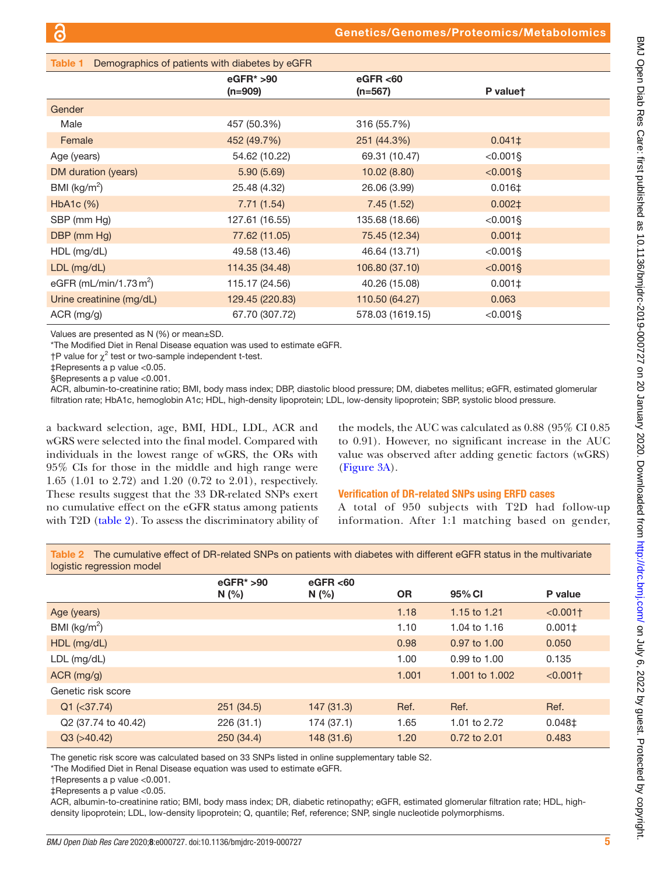<span id="page-4-0"></span>

| Table 1<br>Demographics of patients with diabetes by eGFR |                           |                        |                  |  |
|-----------------------------------------------------------|---------------------------|------------------------|------------------|--|
|                                                           | $eGFR* > 90$<br>$(n=909)$ | eGFR < 60<br>$(n=567)$ | P valuet         |  |
| Gender                                                    |                           |                        |                  |  |
| Male                                                      | 457 (50.3%)               | 316 (55.7%)            |                  |  |
| Female                                                    | 452 (49.7%)               | 251 (44.3%)            | $0.041 \pm$      |  |
| Age (years)                                               | 54.62 (10.22)             | 69.31 (10.47)          | $< 0.001$ §      |  |
| DM duration (years)                                       | 5.90(5.69)                | 10.02 (8.80)           | $< 0.001$ §      |  |
| BMI ( $\text{kg/m}^2$ )                                   | 25.48 (4.32)              | 26.06 (3.99)           | $0.016 \pm$      |  |
| HbA1c (%)                                                 | 7.71(1.54)                | 7.45(1.52)             | $0.002 \ddagger$ |  |
| SBP (mm Hg)                                               | 127.61 (16.55)            | 135.68 (18.66)         | $< 0.001$ §      |  |
| DBP (mm Hg)                                               | 77.62 (11.05)             | 75.45 (12.34)          | $0.001 \pm$      |  |
| HDL (mg/dL)                                               | 49.58 (13.46)             | 46.64 (13.71)          | $< 0.001$ §      |  |
| $LDL$ (mg/dL)                                             | 114.35 (34.48)            | 106.80 (37.10)         | $< 0.001$ §      |  |
| eGFR (mL/min/1.73 $m2$ )                                  | 115.17 (24.56)            | 40.26 (15.08)          | $0.001 \pm$      |  |
| Urine creatinine (mg/dL)                                  | 129.45 (220.83)           | 110.50 (64.27)         | 0.063            |  |
| ACR (mg/g)                                                | 67.70 (307.72)            | 578.03 (1619.15)       | $< 0.001$ §      |  |

Values are presented as N (%) or mean±SD.

\*The Modified Diet in Renal Disease equation was used to estimate eGFR.

 $\dagger$ P value for  $\chi^2$  test or two-sample independent t-test.

‡Represents a p value <0.05.

§Represents a p value <0.001.

ACR, albumin-to-creatinine ratio; BMI, body mass index; DBP, diastolic blood pressure; DM, diabetes mellitus; eGFR, estimated glomerular filtration rate; HbA1c, hemoglobin A1c; HDL, high-density lipoprotein; LDL, low-density lipoprotein; SBP, systolic blood pressure.

a backward selection, age, BMI, HDL, LDL, ACR and wGRS were selected into the final model. Compared with individuals in the lowest range of wGRS, the ORs with 95% CIs for those in the middle and high range were 1.65 (1.01 to 2.72) and 1.20 (0.72 to 2.01), respectively. These results suggest that the 33 DR-related SNPs exert no cumulative effect on the eGFR status among patients with T2D [\(table](#page-4-1) 2). To assess the discriminatory ability of

the models, the AUC was calculated as 0.88 (95% CI 0.85 to 0.91). However, no significant increase in the AUC value was observed after adding genetic factors (wGRS) [\(Figure](#page-5-0) 3A).

#### Verification of DR-related SNPs using ERFD cases

A total of 950 subjects with T2D had follow-up information. After 1:1 matching based on gender,

<span id="page-4-1"></span>Table 2 The cumulative effect of DR-related SNPs on patients with diabetes with different eGFR status in the multivariate logistic regression model

|                         | $eGFR* > 90$<br>N(%) | eGFR < 60<br>N(%) | <b>OR</b> | 95% CI         | P value     |
|-------------------------|----------------------|-------------------|-----------|----------------|-------------|
| Age (years)             |                      |                   | 1.18      | 1.15 to 1.21   | $< 0.001$ † |
| BMI ( $\text{kg/m}^2$ ) |                      |                   | 1.10      | 1.04 to 1.16   | $0.001\pm$  |
| $HDL$ (mg/dL)           |                      |                   | 0.98      | 0.97 to 1.00   | 0.050       |
| $LDL$ (mg/dL)           |                      |                   | 1.00      | 0.99 to 1.00   | 0.135       |
| $ACR$ (mg/g)            |                      |                   | 1.001     | 1.001 to 1.002 | $< 0.001$ † |
| Genetic risk score      |                      |                   |           |                |             |
| $Q1$ (<37.74)           | 251(34.5)            | 147(31.3)         | Ref.      | Ref.           | Ref.        |
| Q2 (37.74 to 40.42)     | 226(31.1)            | 174 (37.1)        | 1.65      | 1.01 to 2.72   | $0.048 \pm$ |
| $Q3$ ( $>40.42$ )       | 250(34.4)            | 148 (31.6)        | 1.20      | 0.72 to 2.01   | 0.483       |
|                         |                      |                   |           |                |             |

The genetic risk score was calculated based on 33 SNPs listed in [online supplementary table S2](https://dx.doi.org/10.1136/bmjdrc-2019-000727).

\*The Modified Diet in Renal Disease equation was used to estimate eGFR.

†Represents a p value <0.001.

‡Represents a p value <0.05.

ACR, albumin-to-creatinine ratio; BMI, body mass index; DR, diabetic retinopathy; eGFR, estimated glomerular filtration rate; HDL, highdensity lipoprotein; LDL, low-density lipoprotein; Q, quantile; Ref, reference; SNP, single nucleotide polymorphisms.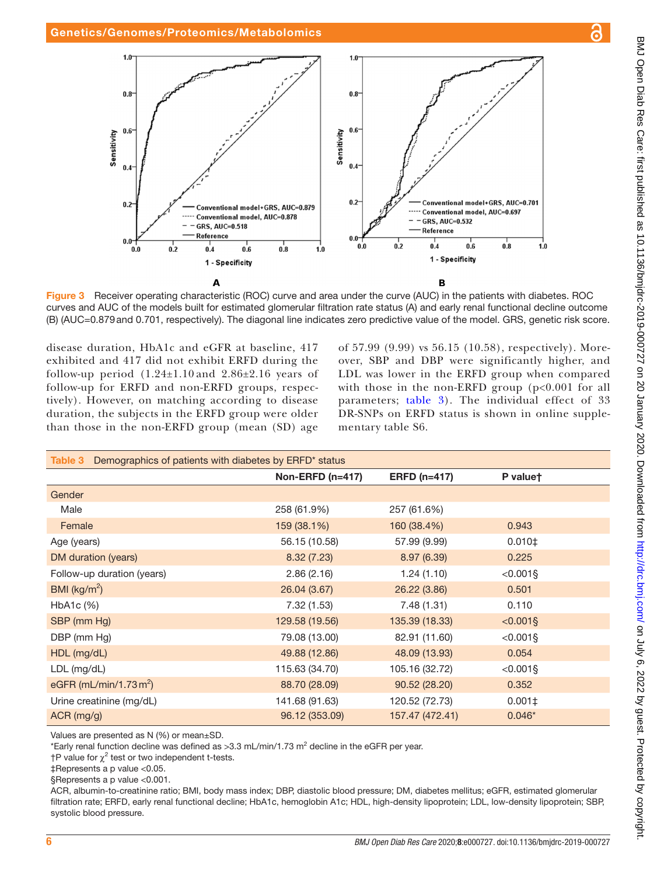

<span id="page-5-0"></span>Figure 3 Receiver operating characteristic (ROC) curve and area under the curve (AUC) in the patients with diabetes. ROC curves and AUC of the models built for estimated glomerular filtration rate status (A) and early renal functional decline outcome (B) (AUC=0.879and 0.701, respectively). The diagonal line indicates zero predictive value of the model. GRS, genetic risk score.

disease duration, HbA1c and eGFR at baseline, 417 exhibited and 417 did not exhibit ERFD during the follow-up period  $(1.24\pm1.10)$  and  $2.86\pm2.16$  years of follow-up for ERFD and non-ERFD groups, respectively). However, on matching according to disease duration, the subjects in the ERFD group were older than those in the non-ERFD group (mean (SD) age of 57.99 (9.99) vs 56.15 (10.58), respectively). Moreover, SBP and DBP were significantly higher, and LDL was lower in the ERFD group when compared with those in the non-ERFD group  $(p<0.001$  for all parameters; [table](#page-5-1) 3). The individual effect of 33 DR-SNPs on ERFD status is shown in [online supple](https://dx.doi.org/10.1136/bmjdrc-2019-000727)[mentary table S6](https://dx.doi.org/10.1136/bmjdrc-2019-000727).

<span id="page-5-1"></span>

| Demographics of patients with diabetes by ERFD* status<br>Table 3 |                  |                     |                  |  |  |
|-------------------------------------------------------------------|------------------|---------------------|------------------|--|--|
|                                                                   | Non-ERFD (n=417) | <b>ERFD (n=417)</b> | P valuet         |  |  |
| Gender                                                            |                  |                     |                  |  |  |
| Male                                                              | 258 (61.9%)      | 257 (61.6%)         |                  |  |  |
| Female                                                            | 159 (38.1%)      | 160 (38.4%)         | 0.943            |  |  |
| Age (years)                                                       | 56.15 (10.58)    | 57.99 (9.99)        | $0.010 \ddagger$ |  |  |
| DM duration (years)                                               | 8.32(7.23)       | 8.97(6.39)          | 0.225            |  |  |
| Follow-up duration (years)                                        | 2.86(2.16)       | 1.24(1.10)          | $< 0.001$ §      |  |  |
| BMI ( $\text{kg/m}^2$ )                                           | 26.04 (3.67)     | 26.22 (3.86)        | 0.501            |  |  |
| HbA1c (%)                                                         | 7.32 (1.53)      | 7.48(1.31)          | 0.110            |  |  |
| SBP (mm Hg)                                                       | 129.58 (19.56)   | 135.39 (18.33)      | $< 0.001$ §      |  |  |
| DBP (mm Hg)                                                       | 79.08 (13.00)    | 82.91 (11.60)       | $< 0.001$ §      |  |  |
| HDL (mg/dL)                                                       | 49.88 (12.86)    | 48.09 (13.93)       | 0.054            |  |  |
| LDL (mg/dL)                                                       | 115.63 (34.70)   | 105.16 (32.72)      | $< 0.001$ §      |  |  |
| eGFR (mL/min/1.73 $m2$ )                                          | 88.70 (28.09)    | 90.52 (28.20)       | 0.352            |  |  |
| Urine creatinine (mg/dL)                                          | 141.68 (91.63)   | 120.52 (72.73)      | $0.001 \pm$      |  |  |
| $ACR$ (mg/g)                                                      | 96.12 (353.09)   | 157.47 (472.41)     | $0.046*$         |  |  |

Values are presented as N (%) or mean±SD.

\*Early renal function decline was defined as >3.3 mL/min/1.73 m<sup>2</sup> decline in the eGFR per year.

†P value for  $\chi^2$  test or two independent t-tests.

‡Represents a p value <0.05.

§Represents a p value <0.001.

ACR, albumin-to-creatinine ratio; BMI, body mass index; DBP, diastolic blood pressure; DM, diabetes mellitus; eGFR, estimated glomerular filtration rate; ERFD, early renal functional decline; HbA1c, hemoglobin A1c; HDL, high-density lipoprotein; LDL, low-density lipoprotein; SBP, systolic blood pressure.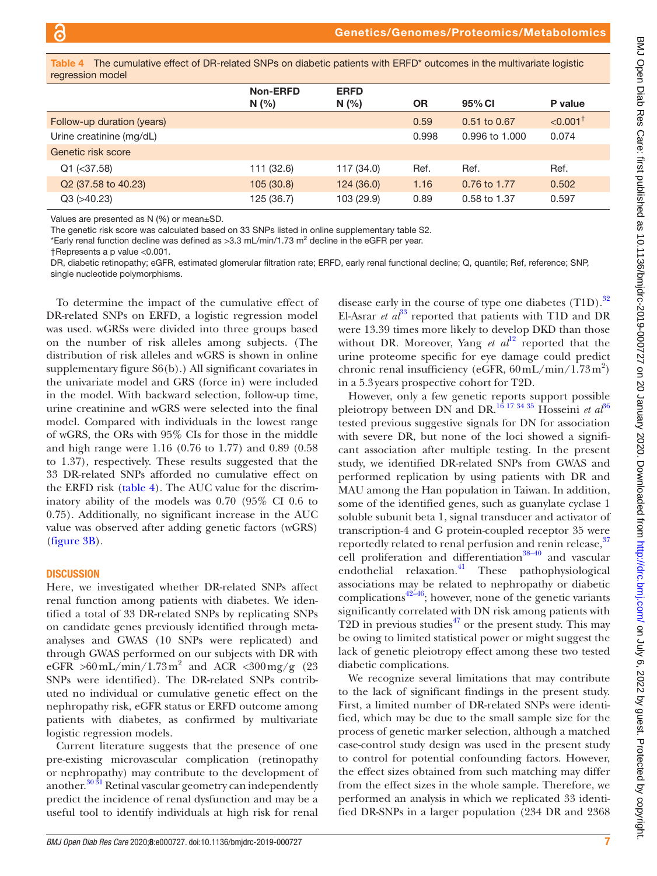<span id="page-6-0"></span>The cumulative effect of DR-related SNPs on diabetic patients with ERFD<sup>\*</sup> outcomes in the multivariate logistic regression model

|                                 | Non-ERFD   | <b>ERFD</b> |           |                  |                        |
|---------------------------------|------------|-------------|-----------|------------------|------------------------|
|                                 | N(%)       | N(%)        | <b>OR</b> | 95% CI           | P value                |
| Follow-up duration (years)      |            |             | 0.59      | $0.51$ to $0.67$ | $< 0.001$ <sup>+</sup> |
| Urine creatinine (mg/dL)        |            |             | 0.998     | 0.996 to 1.000   | 0.074                  |
| Genetic risk score              |            |             |           |                  |                        |
| $Q1$ (<37.58)                   | 111 (32.6) | 117 (34.0)  | Ref.      | Ref.             | Ref.                   |
| Q <sub>2</sub> (37.58 to 40.23) | 105(30.8)  | 124 (36.0)  | 1.16      | 0.76 to 1.77     | 0.502                  |
| $Q3$ ( $>40.23$ )               | 125 (36.7) | 103 (29.9)  | 0.89      | 0.58 to 1.37     | 0.597                  |

Values are presented as N (%) or mean±SD.

The genetic risk score was calculated based on 33 SNPs listed in [online supplementary table S2](https://dx.doi.org/10.1136/bmjdrc-2019-000727).

\*Early renal function decline was defined as >3.3 mL/min/1.73 m<sup>2</sup> decline in the eGFR per year.

†Represents a p value <0.001.

DR, diabetic retinopathy; eGFR, estimated glomerular filtration rate; ERFD, early renal functional decline; Q, quantile; Ref, reference; SNP, single nucleotide polymorphisms.

To determine the impact of the cumulative effect of DR-related SNPs on ERFD, a logistic regression model was used. wGRSs were divided into three groups based on the number of risk alleles among subjects. (The distribution of risk alleles and wGRS is shown in [online](https://dx.doi.org/10.1136/bmjdrc-2019-000727) [supplementary figure S6\(b\).](https://dx.doi.org/10.1136/bmjdrc-2019-000727)) All significant covariates in the univariate model and GRS (force in) were included in the model. With backward selection, follow-up time, urine creatinine and wGRS were selected into the final model. Compared with individuals in the lowest range of wGRS, the ORs with 95% CIs for those in the middle and high range were 1.16 (0.76 to 1.77) and 0.89 (0.58 to 1.37), respectively. These results suggested that the 33 DR-related SNPs afforded no cumulative effect on the ERFD risk ([table](#page-6-0) 4). The AUC value for the discriminatory ability of the models was 0.70 (95% CI 0.6 to 0.75). Additionally, no significant increase in the AUC value was observed after adding genetic factors (wGRS) [\(figure](#page-5-0) 3B).

#### **DISCUSSION**

Here, we investigated whether DR-related SNPs affect renal function among patients with diabetes. We identified a total of 33 DR-related SNPs by replicating SNPs on candidate genes previously identified through metaanalyses and GWAS (10 SNPs were replicated) and through GWAS performed on our subjects with DR with eGFR >60 mL/min/1.73 m<sup>2</sup> and ACR <300 mg/g (23) SNPs were identified). The DR-related SNPs contributed no individual or cumulative genetic effect on the nephropathy risk, eGFR status or ERFD outcome among patients with diabetes, as confirmed by multivariate logistic regression models.

Current literature suggests that the presence of one pre-existing microvascular complication (retinopathy or nephropathy) may contribute to the development of another.<sup>[30 31](#page-8-18)</sup> Retinal vascular geometry can independently predict the incidence of renal dysfunction and may be a useful tool to identify individuals at high risk for renal

disease early in the course of type one diabetes  $(T1D)$ .<sup>[32](#page-8-19)</sup> El-Asrar *et*  $a^{33}$  $a^{33}$  $a^{33}$  reported that patients with T1D and DR were 13.39 times more likely to develop DKD than those without DR. Moreover, Yang *et al*<sup>12</sup> reported that the urine proteome specific for eye damage could predict chronic renal insufficiency (eGFR,  $60 \text{ mL/min} / 1.73 \text{ m}^2$ ) in a 5.3years prospective cohort for T2D.

However, only a few genetic reports support possible pleiotropy between DN and DR.<sup>16 17 34 35</sup> Hosseini *et al*<sup>[36](#page-8-21)</sup> tested previous suggestive signals for DN for association with severe DR, but none of the loci showed a significant association after multiple testing. In the present study, we identified DR-related SNPs from GWAS and performed replication by using patients with DR and MAU among the Han population in Taiwan. In addition, some of the identified genes, such as guanylate cyclase 1 soluble subunit beta 1, signal transducer and activator of transcription-4 and G protein-coupled receptor 35 were reportedly related to renal perfusion and renin release, [37](#page-8-22) cell proliferation and differentiation<sup>38-40</sup> and vascular endothelial relaxation.<sup>41</sup> These pathophysiological associations may be related to nephropathy or diabetic complications<sup> $42-46$ </sup>; however, none of the genetic variants significantly correlated with DN risk among patients with T2D in previous studies<sup> $47$ </sup> or the present study. This may be owing to limited statistical power or might suggest the lack of genetic pleiotropy effect among these two tested diabetic complications.

We recognize several limitations that may contribute to the lack of significant findings in the present study. First, a limited number of DR-related SNPs were identified, which may be due to the small sample size for the process of genetic marker selection, although a matched case-control study design was used in the present study to control for potential confounding factors. However, the effect sizes obtained from such matching may differ from the effect sizes in the whole sample. Therefore, we performed an analysis in which we replicated 33 identified DR-SNPs in a larger population (234 DR and 2368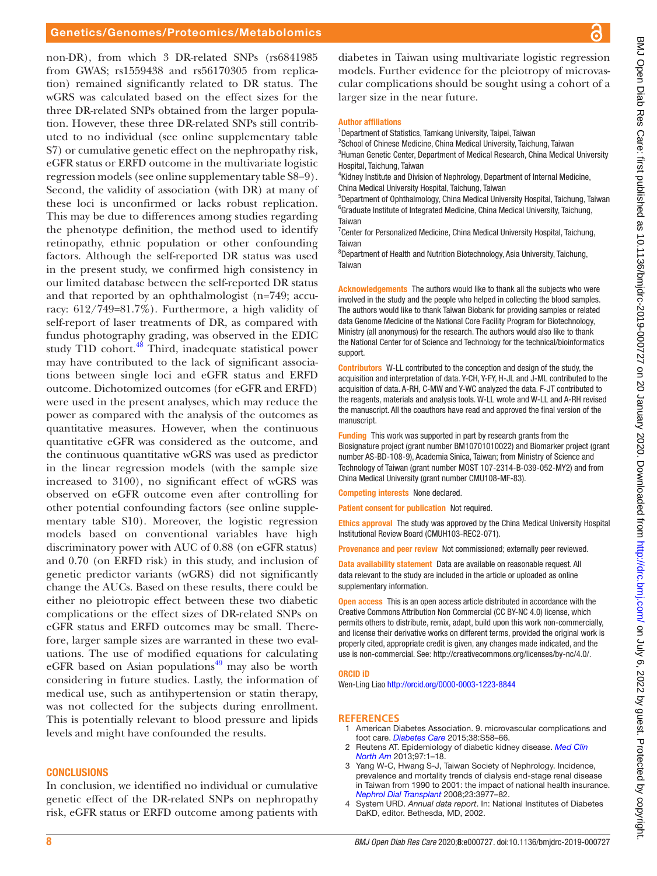### Genetics/Genomes/Proteomics/Metabolomics

non-DR), from which 3 DR-related SNPs (rs6841985 from GWAS; rs1559438 and rs56170305 from replication) remained significantly related to DR status. The wGRS was calculated based on the effect sizes for the three DR-related SNPs obtained from the larger population. However, these three DR-related SNPs still contributed to no individual (see [online supplementary table](https://dx.doi.org/10.1136/bmjdrc-2019-000727) [S7](https://dx.doi.org/10.1136/bmjdrc-2019-000727)) or cumulative genetic effect on the nephropathy risk, eGFR status or ERFD outcome in the multivariate logistic regression models (see [online supplementary table S8−9](https://dx.doi.org/10.1136/bmjdrc-2019-000727)). Second, the validity of association (with DR) at many of these loci is unconfirmed or lacks robust replication. This may be due to differences among studies regarding the phenotype definition, the method used to identify retinopathy, ethnic population or other confounding factors. Although the self-reported DR status was used in the present study, we confirmed high consistency in our limited database between the self-reported DR status and that reported by an ophthalmologist (n=749; accuracy: 612/749=81.7%). Furthermore, a high validity of self-report of laser treatments of DR, as compared with fundus photography grading, was observed in the EDIC study T1D cohort.<sup>[48](#page-8-27)</sup> Third, inadequate statistical power may have contributed to the lack of significant associations between single loci and eGFR status and ERFD outcome. Dichotomized outcomes (for eGFR and ERFD) were used in the present analyses, which may reduce the power as compared with the analysis of the outcomes as quantitative measures. However, when the continuous quantitative eGFR was considered as the outcome, and the continuous quantitative wGRS was used as predictor in the linear regression models (with the sample size increased to 3100), no significant effect of wGRS was observed on eGFR outcome even after controlling for Taiwan Taiwan Taiwan support. manuscript.

other potential confounding factors (see [online supple](https://dx.doi.org/10.1136/bmjdrc-2019-000727)[mentary table S10\)](https://dx.doi.org/10.1136/bmjdrc-2019-000727). Moreover, the logistic regression models based on conventional variables have high discriminatory power with AUC of 0.88 (on eGFR status) and 0.70 (on ERFD risk) in this study, and inclusion of genetic predictor variants (wGRS) did not significantly change the AUCs. Based on these results, there could be either no pleiotropic effect between these two diabetic complications or the effect sizes of DR-related SNPs on eGFR status and ERFD outcomes may be small. Therefore, larger sample sizes are warranted in these two evaluations. The use of modified equations for calculating eGFR based on Asian populations $49$  may also be worth considering in future studies. Lastly, the information of medical use, such as antihypertension or statin therapy, was not collected for the subjects during enrollment. This is potentially relevant to blood pressure and lipids levels and might have confounded the results.

#### **CONCLUSIONS**

In conclusion, we identified no individual or cumulative genetic effect of the DR-related SNPs on nephropathy risk, eGFR status or ERFD outcome among patients with

diabetes in Taiwan using multivariate logistic regression models. Further evidence for the pleiotropy of microvascular complications should be sought using a cohort of a larger size in the near future.

#### Author affiliations

<sup>1</sup>Department of Statistics, Tamkang University, Taipei, Taiwan

<sup>2</sup>School of Chinese Medicine, China Medical University, Taichung, Taiwan <sup>3</sup>Human Genetic Center, Department of Medical Research, China Medical University Hospital, Taichung, Taiwan

4 Kidney Institute and Division of Nephrology, Department of Internal Medicine, China Medical University Hospital, Taichung, Taiwan

5 Department of Ophthalmology, China Medical University Hospital, Taichung, Taiwan <sup>6</sup>Graduate Institute of Integrated Medicine, China Medical University, Taichung,

<sup>7</sup> Center for Personalized Medicine, China Medical University Hospital, Taichung,

8 Department of Health and Nutrition Biotechnology, Asia University, Taichung,

Acknowledgements The authors would like to thank all the subjects who were involved in the study and the people who helped in collecting the blood samples. The authors would like to thank Taiwan Biobank for providing samples or related data Genome Medicine of the National Core Facility Program for Biotechnology, Ministry (all anonymous) for the research. The authors would also like to thank the National Center for of Science and Technology for the technical/bioinformatics

Contributors W-LL contributed to the conception and design of the study, the acquisition and interpretation of data. Y-CH, Y-FY, H-JL and J-ML contributed to the acquisition of data. A-RH, C-MW and Y-WC analyzed the data. F-JT contributed to the reagents, materials and analysis tools. W-LL wrote and W-LL and A-RH revised the manuscript. All the coauthors have read and approved the final version of the

Funding This work was supported in part by research grants from the Biosignature project (grant number BM10701010022) and Biomarker project (grant number AS-BD-108-9), Academia Sinica, Taiwan; from Ministry of Science and Technology of Taiwan (grant number MOST 107-2314-B-039-052-MY2) and from China Medical University (grant number CMU108-MF-83).

Competing interests None declared.

Patient consent for publication Not required.

Ethics approval The study was approved by the China Medical University Hospital Institutional Review Board (CMUH103-REC2-071).

Provenance and peer review Not commissioned; externally peer reviewed.

Data availability statement Data are available on reasonable request. All data relevant to the study are included in the article or uploaded as online supplementary information.

Open access This is an open access article distributed in accordance with the Creative Commons Attribution Non Commercial (CC BY-NC 4.0) license, which permits others to distribute, remix, adapt, build upon this work non-commercially, and license their derivative works on different terms, provided the original work is properly cited, appropriate credit is given, any changes made indicated, and the use is non-commercial. See:<http://creativecommons.org/licenses/by-nc/4.0/>.

#### ORCID iD

Wen-Ling Liao<http://orcid.org/0000-0003-1223-8844>

#### **References**

- <span id="page-7-0"></span>1 American Diabetes Association. 9. microvascular complications and foot care. *[Diabetes Care](http://dx.doi.org/10.2337/dc15-S012)* 2015;38:S58–66.
- <span id="page-7-1"></span>2 Reutens AT. Epidemiology of diabetic kidney disease. *[Med Clin](http://dx.doi.org/10.1016/j.mcna.2012.10.001)  [North Am](http://dx.doi.org/10.1016/j.mcna.2012.10.001)* 2013;97:1–18.
- <span id="page-7-2"></span>3 Yang W-C, Hwang S-J, Taiwan Society of Nephrology. Incidence, prevalence and mortality trends of dialysis end-stage renal disease in Taiwan from 1990 to 2001: the impact of national health insurance. *[Nephrol Dial Transplant](http://dx.doi.org/10.1093/ndt/gfn406)* 2008;23:3977–82.
- <span id="page-7-3"></span>4 System URD. *Annual data report*. In: National Institutes of Diabetes DaKD, editor. Bethesda, MD, 2002.

႕